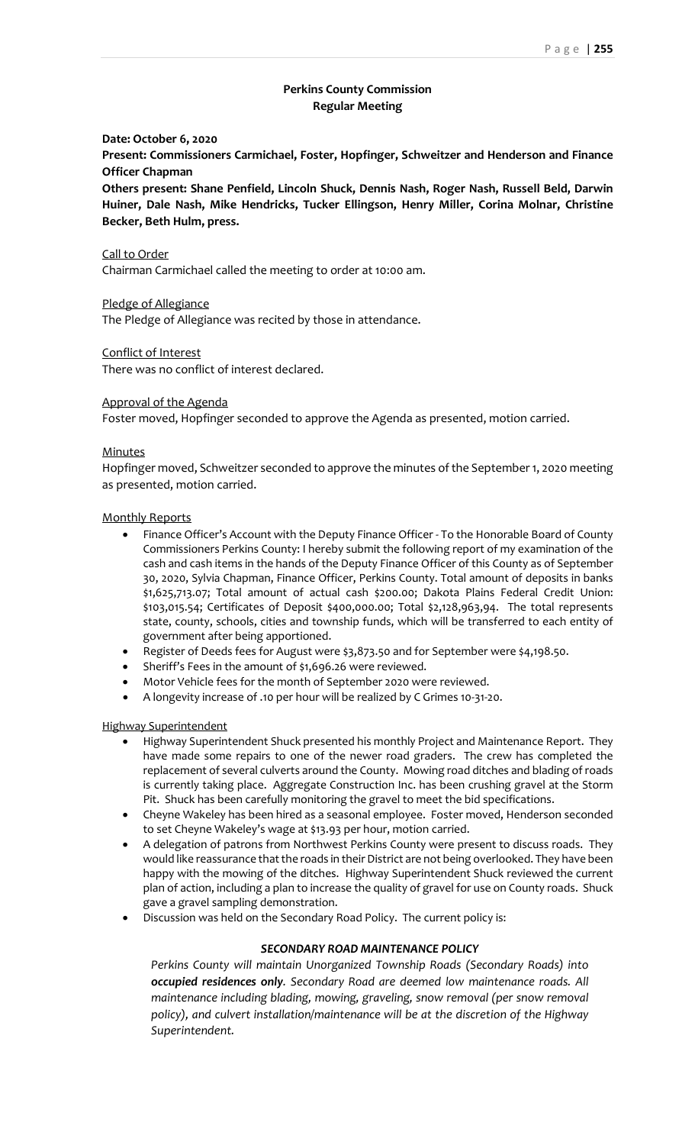# **Perkins County Commission Regular Meeting**

### **Date: October 6, 2020**

**Present: Commissioners Carmichael, Foster, Hopfinger, Schweitzer and Henderson and Finance Officer Chapman**

**Others present: Shane Penfield, Lincoln Shuck, Dennis Nash, Roger Nash, Russell Beld, Darwin Huiner, Dale Nash, Mike Hendricks, Tucker Ellingson, Henry Miller, Corina Molnar, Christine Becker, Beth Hulm, press.**

Call to Order

Chairman Carmichael called the meeting to order at 10:00 am.

Pledge of Allegiance

The Pledge of Allegiance was recited by those in attendance.

Conflict of Interest

There was no conflict of interest declared.

### Approval of the Agenda

Foster moved, Hopfinger seconded to approve the Agenda as presented, motion carried.

### **Minutes**

Hopfinger moved, Schweitzer seconded to approve the minutes of the September 1, 2020 meeting as presented, motion carried.

### Monthly Reports

- Finance Officer's Account with the Deputy Finance Officer To the Honorable Board of County Commissioners Perkins County: I hereby submit the following report of my examination of the cash and cash items in the hands of the Deputy Finance Officer of this County as of September 30, 2020, Sylvia Chapman, Finance Officer, Perkins County. Total amount of deposits in banks \$1,625,713.07; Total amount of actual cash \$200.00; Dakota Plains Federal Credit Union: \$103,015.54; Certificates of Deposit \$400,000.00; Total \$2,128,963,94. The total represents state, county, schools, cities and township funds, which will be transferred to each entity of government after being apportioned.
- Register of Deeds fees for August were \$3,873.50 and for September were \$4,198.50.
- Sheriff's Fees in the amount of \$1,696.26 were reviewed.
- Motor Vehicle fees for the month of September 2020 were reviewed.
- A longevity increase of .10 per hour will be realized by C Grimes 10-31-20.

#### Highway Superintendent

- Highway Superintendent Shuck presented his monthly Project and Maintenance Report. They have made some repairs to one of the newer road graders. The crew has completed the replacement of several culverts around the County. Mowing road ditches and blading of roads is currently taking place. Aggregate Construction Inc. has been crushing gravel at the Storm Pit. Shuck has been carefully monitoring the gravel to meet the bid specifications.
- Cheyne Wakeley has been hired as a seasonal employee. Foster moved, Henderson seconded to set Cheyne Wakeley's wage at \$13.93 per hour, motion carried.
- A delegation of patrons from Northwest Perkins County were present to discuss roads. They would like reassurance that the roads in their District are not being overlooked. They have been happy with the mowing of the ditches. Highway Superintendent Shuck reviewed the current plan of action, including a plan to increase the quality of gravel for use on County roads. Shuck gave a gravel sampling demonstration.
- Discussion was held on the Secondary Road Policy. The current policy is:

## *SECONDARY ROAD MAINTENANCE POLICY*

*Perkins County will maintain Unorganized Township Roads (Secondary Roads) into occupied residences only. Secondary Road are deemed low maintenance roads. All maintenance including blading, mowing, graveling, snow removal (per snow removal policy), and culvert installation/maintenance will be at the discretion of the Highway Superintendent.*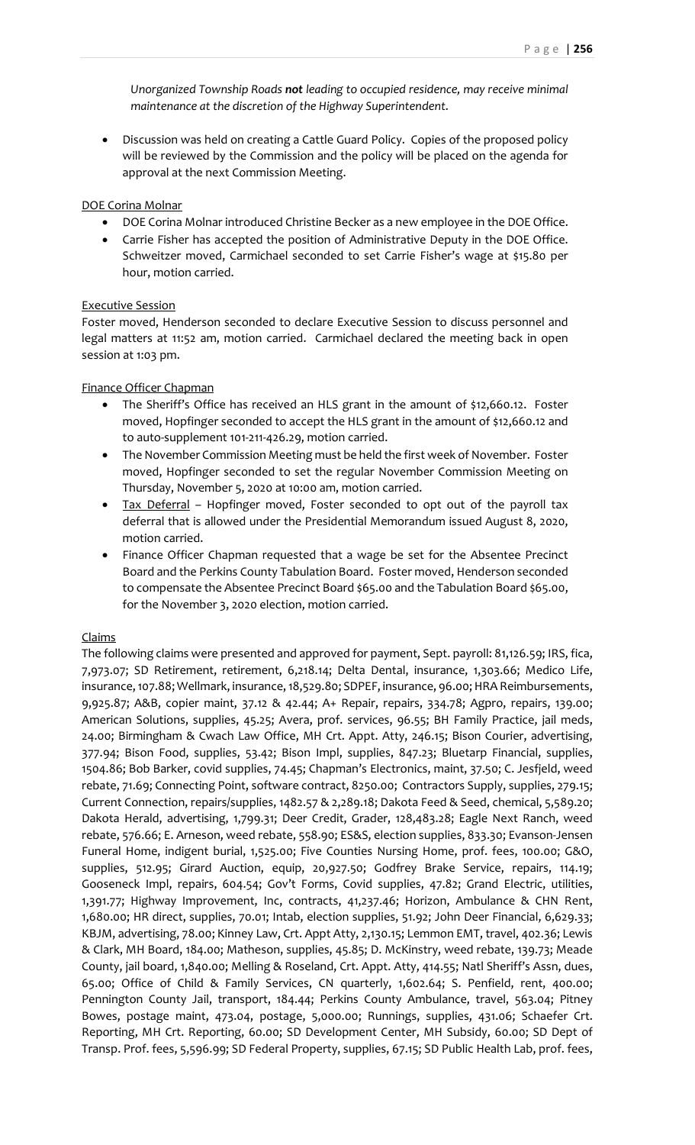*Unorganized Township Roads not leading to occupied residence, may receive minimal maintenance at the discretion of the Highway Superintendent.* 

• Discussion was held on creating a Cattle Guard Policy. Copies of the proposed policy will be reviewed by the Commission and the policy will be placed on the agenda for approval at the next Commission Meeting.

### DOE Corina Molnar

- DOE Corina Molnar introduced Christine Becker as a new employee in the DOE Office.
- Carrie Fisher has accepted the position of Administrative Deputy in the DOE Office. Schweitzer moved, Carmichael seconded to set Carrie Fisher's wage at \$15.80 per hour, motion carried.

### Executive Session

Foster moved, Henderson seconded to declare Executive Session to discuss personnel and legal matters at 11:52 am, motion carried. Carmichael declared the meeting back in open session at 1:03 pm.

### Finance Officer Chapman

- The Sheriff's Office has received an HLS grant in the amount of \$12,660.12. Foster moved, Hopfinger seconded to accept the HLS grant in the amount of \$12,660.12 and to auto-supplement 101-211-426.29, motion carried.
- The November Commission Meeting must be held the first week of November. Foster moved, Hopfinger seconded to set the regular November Commission Meeting on Thursday, November 5, 2020 at 10:00 am, motion carried.
- Tax Deferral Hopfinger moved, Foster seconded to opt out of the payroll tax deferral that is allowed under the Presidential Memorandum issued August 8, 2020, motion carried.
- Finance Officer Chapman requested that a wage be set for the Absentee Precinct Board and the Perkins County Tabulation Board. Foster moved, Henderson seconded to compensate the Absentee Precinct Board \$65.00 and the Tabulation Board \$65.00, for the November 3, 2020 election, motion carried.

## Claims

The following claims were presented and approved for payment, Sept. payroll: 81,126.59; IRS, fica, 7,973.07; SD Retirement, retirement, 6,218.14; Delta Dental, insurance, 1,303.66; Medico Life, insurance, 107.88; Wellmark, insurance, 18,529.80; SDPEF, insurance, 96.00; HRA Reimbursements, 9,925.87; A&B, copier maint, 37.12 & 42.44; A+ Repair, repairs, 334.78; Agpro, repairs, 139.00; American Solutions, supplies, 45.25; Avera, prof. services, 96.55; BH Family Practice, jail meds, 24.00; Birmingham & Cwach Law Office, MH Crt. Appt. Atty, 246.15; Bison Courier, advertising, 377.94; Bison Food, supplies, 53.42; Bison Impl, supplies, 847.23; Bluetarp Financial, supplies, 1504.86; Bob Barker, covid supplies, 74.45; Chapman's Electronics, maint, 37.50; C. Jesfjeld, weed rebate, 71.69; Connecting Point, software contract, 8250.00; Contractors Supply, supplies, 279.15; Current Connection, repairs/supplies, 1482.57 & 2,289.18; Dakota Feed & Seed, chemical, 5,589.20; Dakota Herald, advertising, 1,799.31; Deer Credit, Grader, 128,483.28; Eagle Next Ranch, weed rebate, 576.66; E. Arneson, weed rebate, 558.90; ES&S, election supplies, 833.30; Evanson-Jensen Funeral Home, indigent burial, 1,525.00; Five Counties Nursing Home, prof. fees, 100.00; G&O, supplies, 512.95; Girard Auction, equip, 20,927.50; Godfrey Brake Service, repairs, 114.19; Gooseneck Impl, repairs, 604.54; Gov't Forms, Covid supplies, 47.82; Grand Electric, utilities, 1,391.77; Highway Improvement, Inc, contracts, 41,237.46; Horizon, Ambulance & CHN Rent, 1,680.00; HR direct, supplies, 70.01; Intab, election supplies, 51.92; John Deer Financial, 6,629.33; KBJM, advertising, 78.00; Kinney Law, Crt. Appt Atty, 2,130.15; Lemmon EMT, travel, 402.36; Lewis & Clark, MH Board, 184.00; Matheson, supplies, 45.85; D. McKinstry, weed rebate, 139.73; Meade County, jail board, 1,840.00; Melling & Roseland, Crt. Appt. Atty, 414.55; Natl Sheriff's Assn, dues, 65.00; Office of Child & Family Services, CN quarterly, 1,602.64; S. Penfield, rent, 400.00; Pennington County Jail, transport, 184.44; Perkins County Ambulance, travel, 563.04; Pitney Bowes, postage maint, 473.04, postage, 5,000.00; Runnings, supplies, 431.06; Schaefer Crt. Reporting, MH Crt. Reporting, 60.00; SD Development Center, MH Subsidy, 60.00; SD Dept of Transp. Prof. fees, 5,596.99; SD Federal Property, supplies, 67.15; SD Public Health Lab, prof. fees,